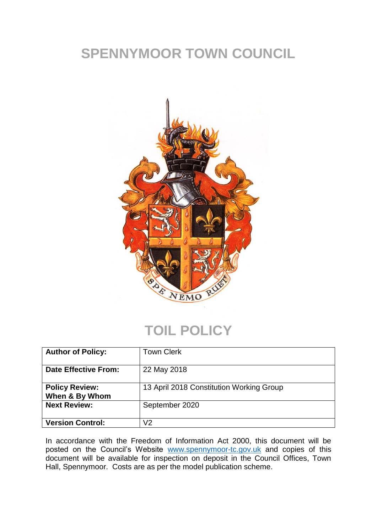## **SPENNYMOOR TOWN COUNCIL**



### **TOIL POLICY**

| <b>Author of Policy:</b>                | <b>Town Clerk</b>                        |
|-----------------------------------------|------------------------------------------|
| <b>Date Effective From:</b>             | 22 May 2018                              |
| <b>Policy Review:</b><br>When & By Whom | 13 April 2018 Constitution Working Group |
| <b>Next Review:</b>                     | September 2020                           |
| <b>Version Control:</b>                 | V <sub>2</sub>                           |

In accordance with the Freedom of Information Act 2000, this document will be posted on the Council's Website [www.spennymoor-tc.gov.uk](http://www.spennymoor-tc.gov.uk/) and copies of this document will be available for inspection on deposit in the Council Offices, Town Hall, Spennymoor. Costs are as per the model publication scheme.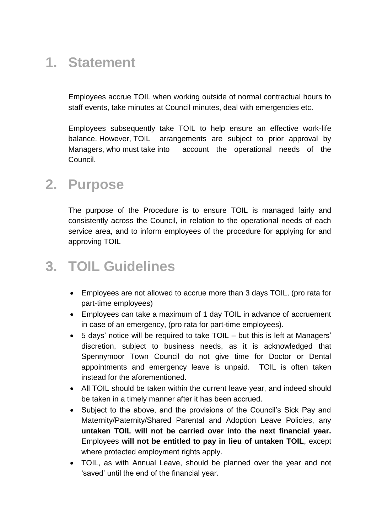## **1. Statement**

Employees accrue TOIL when working outside of normal contractual hours to staff events, take minutes at Council minutes, deal with emergencies etc.

Employees subsequently take TOIL to help ensure an effective work-life balance. However, TOIL arrangements are subject to prior approval by Managers, who must take into account the operational needs of the Council.

#### **2. Purpose**

The purpose of the Procedure is to ensure TOIL is managed fairly and consistently across the Council, in relation to the operational needs of each service area, and to inform employees of the procedure for applying for and approving TOIL

## **3. TOIL Guidelines**

- Employees are not allowed to accrue more than 3 days TOIL, (pro rata for part-time employees)
- Employees can take a maximum of 1 day TOIL in advance of accruement in case of an emergency, (pro rata for part-time employees).
- 5 days' notice will be required to take TOIL but this is left at Managers' discretion, subject to business needs, as it is acknowledged that Spennymoor Town Council do not give time for Doctor or Dental appointments and emergency leave is unpaid. TOIL is often taken instead for the aforementioned.
- All TOIL should be taken within the current leave year, and indeed should be taken in a timely manner after it has been accrued.
- Subject to the above, and the provisions of the Council's Sick Pay and Maternity/Paternity/Shared Parental and Adoption Leave Policies, any **untaken TOIL will not be carried over into the next financial year.**  Employees **will not be entitled to pay in lieu of untaken TOIL**, except where protected employment rights apply.
- TOIL, as with Annual Leave, should be planned over the year and not 'saved' until the end of the financial year.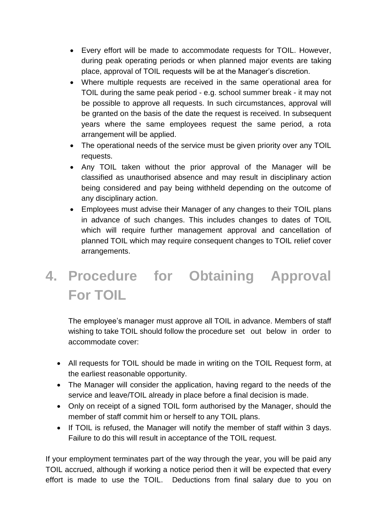- Every effort will be made to accommodate requests for TOIL. However, during peak operating periods or when planned major events are taking place, approval of TOIL requests will be at the Manager's discretion.
- Where multiple requests are received in the same operational area for TOIL during the same peak period - e.g. school summer break - it may not be possible to approve all requests. In such circumstances, approval will be granted on the basis of the date the request is received. In subsequent years where the same employees request the same period, a rota arrangement will be applied.
- The operational needs of the service must be given priority over any TOIL requests.
- Any TOIL taken without the prior approval of the Manager will be classified as unauthorised absence and may result in disciplinary action being considered and pay being withheld depending on the outcome of any disciplinary action.
- Employees must advise their Manager of any changes to their TOIL plans in advance of such changes. This includes changes to dates of TOIL which will require further management approval and cancellation of planned TOIL which may require consequent changes to TOIL relief cover arrangements.

# **4. Procedure for Obtaining Approval For TOIL**

The employee's manager must approve all TOIL in advance. Members of staff wishing to take TOIL should follow the procedure set out below in order to accommodate cover:

- All requests for TOIL should be made in writing on the TOIL Request form, at the earliest reasonable opportunity.
- The Manager will consider the application, having regard to the needs of the service and leave/TOIL already in place before a final decision is made.
- Only on receipt of a signed TOIL form authorised by the Manager, should the member of staff commit him or herself to any TOIL plans.
- If TOIL is refused, the Manager will notify the member of staff within 3 days. Failure to do this will result in acceptance of the TOIL request.

If your employment terminates part of the way through the year, you will be paid any TOIL accrued, although if working a notice period then it will be expected that every effort is made to use the TOIL. Deductions from final salary due to you on